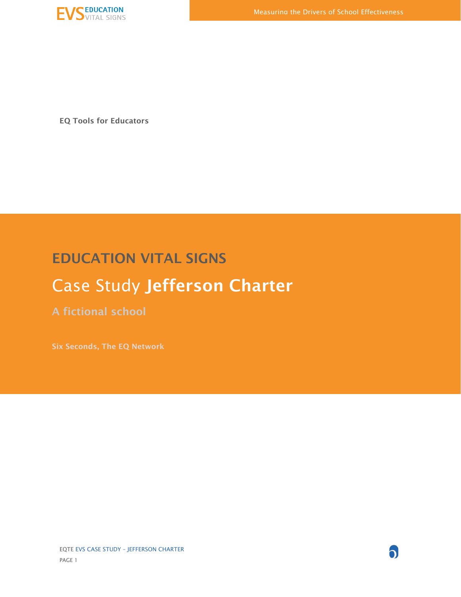

EQ Tools for Educators

# EDUCATION VITAL SIGNS

# Case Study Jefferson Charter

A fictional school

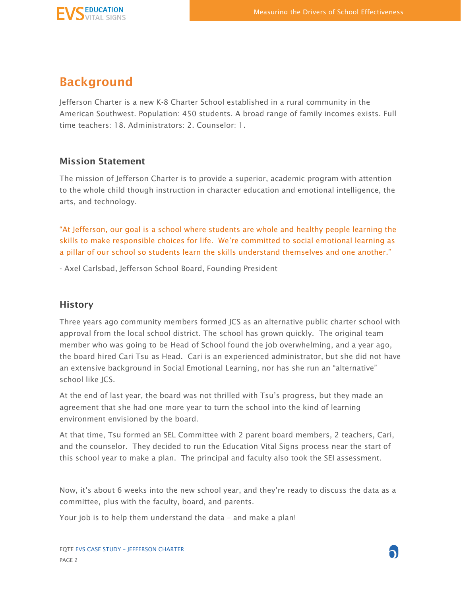

### Background

Jefferson Charter is a new K-8 Charter School established in a rural community in the American Southwest. Population: 450 students. A broad range of family incomes exists. Full time teachers: 18. Administrators: 2. Counselor: 1.

#### Mission Statement

The mission of Jefferson Charter is to provide a superior, academic program with attention to the whole child though instruction in character education and emotional intelligence, the arts, and technology.

"At Jefferson, our goal is a school where students are whole and healthy people learning the skills to make responsible choices for life. We're committed to social emotional learning as a pillar of our school so students learn the skills understand themselves and one another."

- Axel Carlsbad, Jefferson School Board, Founding President

#### **History**

Three years ago community members formed JCS as an alternative public charter school with approval from the local school district. The school has grown quickly. The original team member who was going to be Head of School found the job overwhelming, and a year ago, the board hired Cari Tsu as Head. Cari is an experienced administrator, but she did not have an extensive background in Social Emotional Learning, nor has she run an "alternative" school like JCS.

At the end of last year, the board was not thrilled with Tsu's progress, but they made an agreement that she had one more year to turn the school into the kind of learning environment envisioned by the board.

At that time, Tsu formed an SEL Committee with 2 parent board members, 2 teachers, Cari, and the counselor. They decided to run the Education Vital Signs process near the start of this school year to make a plan. The principal and faculty also took the SEI assessment.

Now, it's about 6 weeks into the new school year, and they're ready to discuss the data as a committee, plus with the faculty, board, and parents.

Your job is to help them understand the data – and make a plan!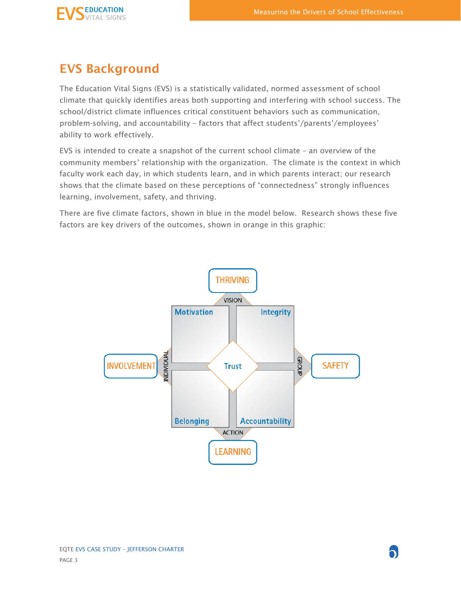

### EVS Background

The Education Vital Signs (EVS) is a statistically validated, normed assessment of school climate that quickly identifies areas both supporting and interfering with school success. The school/district climate influences critical constituent behaviors such as communication, problem-solving, and accountability – factors that affect students'/parents'/employees' ability to work effectively.

EVS is intended to create a snapshot of the current school climate – an overview of the community members' relationship with the organization. The climate is the context in which faculty work each day, in which students learn, and in which parents interact; our research shows that the climate based on these perceptions of "connectedness" strongly influences learning, involvement, safety, and thriving.

There are five climate factors, shown in blue in the model below. Research shows these five factors are key drivers of the outcomes, shown in orange in this graphic:

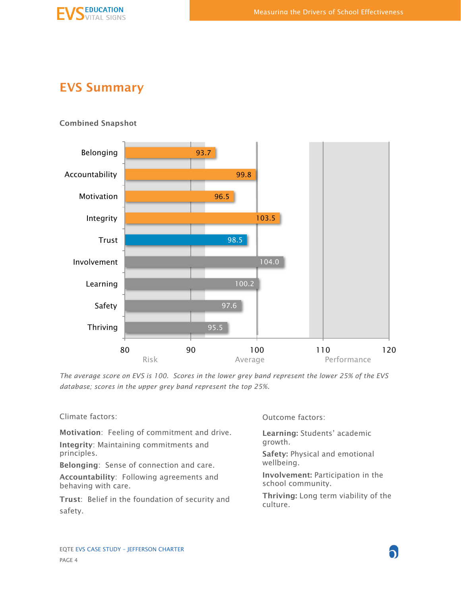

# EVS Summary

Combined Snapshot



*The average score on EVS is 100. Scores in the lower grey band represent the lower 25% of the EVS database; scores in the upper grey band represent the top 25%.*

Climate factors:

Motivation: Feeling of commitment and drive. Integrity: Maintaining commitments and principles.

Belonging: Sense of connection and care.

Accountability: Following agreements and behaving with care.

Trust: Belief in the foundation of security and safety.

Outcome factors:

Learning: Students' academic growth.

Safety: Physical and emotional wellbeing.

Involvement: Participation in the school community.

Thriving: Long term viability of the culture.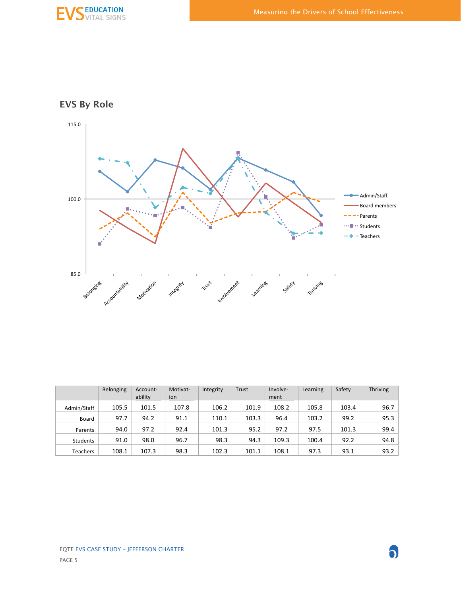

EVS By Role



|                 | <b>Belonging</b> | Account-<br>ability | Motivat-<br>ion | Integrity | Trust | Involve-<br>ment | Learning | Safety | Thriving |
|-----------------|------------------|---------------------|-----------------|-----------|-------|------------------|----------|--------|----------|
| Admin/Staff     | 105.5            | 101.5               | 107.8           | 106.2     | 101.9 | 108.2            | 105.8    | 103.4  | 96.7     |
| Board           | 97.7             | 94.2                | 91.1            | 110.1     | 103.3 | 96.4             | 103.2    | 99.2   | 95.3     |
| Parents         | 94.0             | 97.2                | 92.4            | 101.3     | 95.2  | 97.2             | 97.5     | 101.3  | 99.4     |
| <b>Students</b> | 91.0             | 98.0                | 96.7            | 98.3      | 94.3  | 109.3            | 100.4    | 92.2   | 94.8     |
| Teachers        | 108.1            | 107.3               | 98.3            | 102.3     | 101.1 | 108.1            | 97.3     | 93.1   | 93.2     |

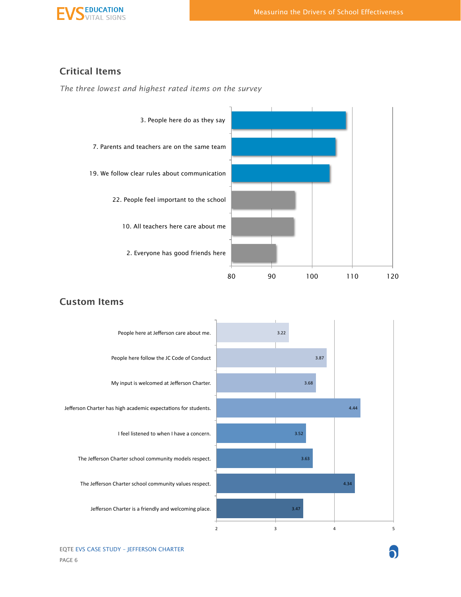

### Critical Items

*The three lowest and highest rated items on the survey*



### 3.47% 4.34% 3.63% 3.52% 4.44% 3.68% 3.87% 3.22%  $2$  3 4 5 Jefferson Charter is a friendly and welcoming place. The Jefferson Charter school community values respect. The Jefferson Charter school community models respect. I feel listened to when I have a concern. Jefferson Charter has high academic expectations for students. My input is welcomed at Jefferson Charter. People here follow the JC Code of Conduct People here at Jefferson care about me.

#### Custom Items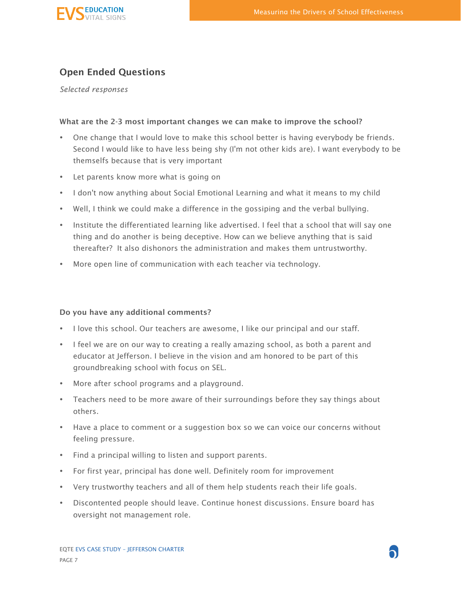

#### Open Ended Questions

*Selected responses*

#### What are the 2-3 most important changes we can make to improve the school?

- One change that I would love to make this school better is having everybody be friends. Second I would like to have less being shy (I'm not other kids are). I want everybody to be themselfs because that is very important
- Let parents know more what is going on
- I don't now anything about Social Emotional Learning and what it means to my child
- Well, I think we could make a difference in the gossiping and the verbal bullying.
- Institute the differentiated learning like advertised. I feel that a school that will say one thing and do another is being deceptive. How can we believe anything that is said thereafter? It also dishonors the administration and makes them untrustworthy.
- More open line of communication with each teacher via technology.

#### Do you have any additional comments?

- I love this school. Our teachers are awesome, I like our principal and our staff.
- I feel we are on our way to creating a really amazing school, as both a parent and educator at Jefferson. I believe in the vision and am honored to be part of this groundbreaking school with focus on SEL.
- More after school programs and a playground.
- Teachers need to be more aware of their surroundings before they say things about others.
- Have a place to comment or a suggestion box so we can voice our concerns without feeling pressure.
- Find a principal willing to listen and support parents.
- For first year, principal has done well. Definitely room for improvement
- Very trustworthy teachers and all of them help students reach their life goals.
- Discontented people should leave. Continue honest discussions. Ensure board has oversight not management role.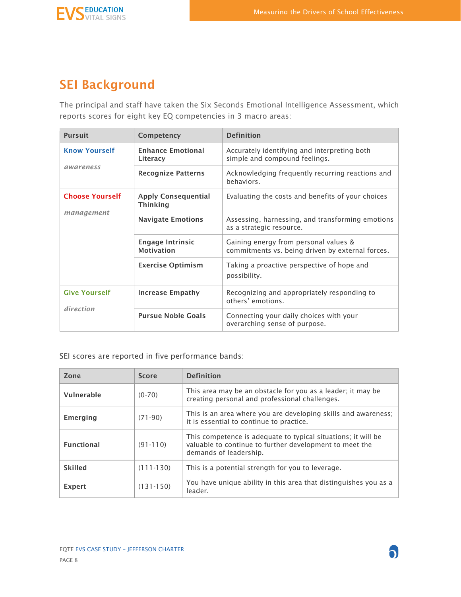

# SEI Background

The principal and staff have taken the Six Seconds Emotional Intelligence Assessment, which reports scores for eight key EQ competencies in 3 macro areas:

| <b>Pursuit</b>         | Competency                                    | <b>Definition</b>                                                                                                                                                         |  |  |
|------------------------|-----------------------------------------------|---------------------------------------------------------------------------------------------------------------------------------------------------------------------------|--|--|
| <b>Know Yourself</b>   | <b>Enhance Emotional</b><br>Literacy          | Accurately identifying and interpreting both<br>simple and compound feelings.                                                                                             |  |  |
| awareness              | <b>Recognize Patterns</b>                     | Acknowledging frequently recurring reactions and<br>behaviors.                                                                                                            |  |  |
| <b>Choose Yourself</b> | <b>Apply Consequential</b><br><b>Thinking</b> | Evaluating the costs and benefits of your choices                                                                                                                         |  |  |
| management             | <b>Navigate Emotions</b>                      | Assessing, harnessing, and transforming emotions<br>as a strategic resource.<br>Gaining energy from personal values &<br>commitments vs. being driven by external forces. |  |  |
|                        | <b>Engage Intrinsic</b><br><b>Motivation</b>  |                                                                                                                                                                           |  |  |
|                        | <b>Exercise Optimism</b>                      | Taking a proactive perspective of hope and<br>possibility.                                                                                                                |  |  |
| <b>Give Yourself</b>   | <b>Increase Empathy</b>                       | Recognizing and appropriately responding to<br>others' emotions.                                                                                                          |  |  |
| direction              | <b>Pursue Noble Goals</b>                     | Connecting your daily choices with your<br>overarching sense of purpose.                                                                                                  |  |  |

SEI scores are reported in five performance bands:

| Zone                   | <b>Score</b>  | <b>Definition</b>                                                                                                                                  |  |  |
|------------------------|---------------|----------------------------------------------------------------------------------------------------------------------------------------------------|--|--|
| Vulnerable<br>$(0-70)$ |               | This area may be an obstacle for you as a leader; it may be<br>creating personal and professional challenges.                                      |  |  |
| Emerging<br>$(71-90)$  |               | This is an area where you are developing skills and awareness;<br>it is essential to continue to practice.                                         |  |  |
| <b>Functional</b>      | $(91-110)$    | This competence is adequate to typical situations; it will be<br>valuable to continue to further development to meet the<br>demands of leadership. |  |  |
| <b>Skilled</b>         | $(111 - 130)$ | This is a potential strength for you to leverage.                                                                                                  |  |  |
| <b>Expert</b>          | $(131-150)$   | You have unique ability in this area that distinguishes you as a<br>leader.                                                                        |  |  |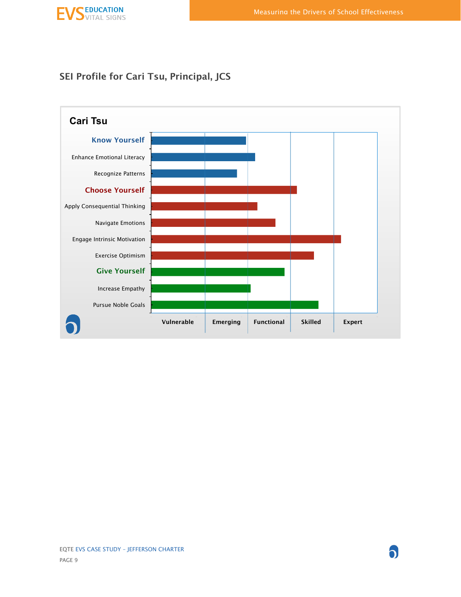### SEI Profile for Cari Tsu, Principal, JCS

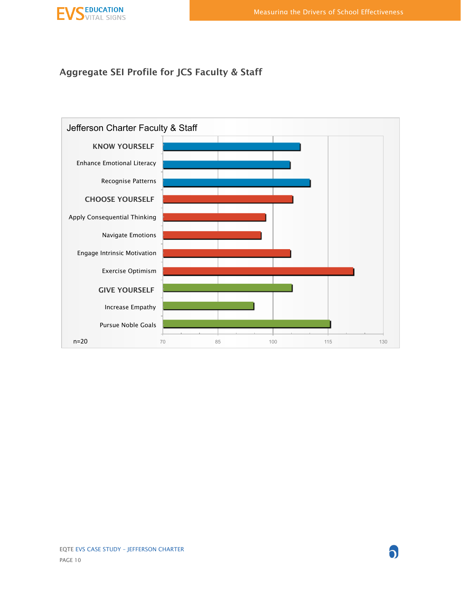

### Aggregate SEI Profile for JCS Faculty & Staff